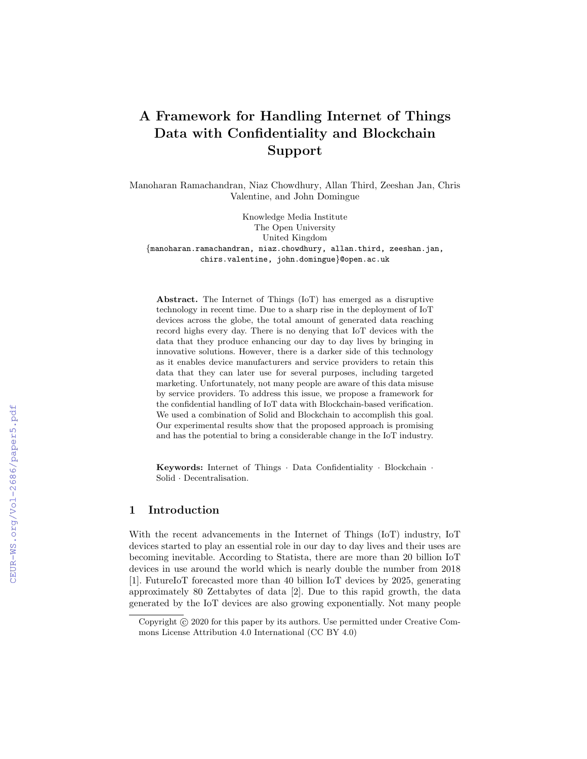# A Framework for Handling Internet of Things Data with Confidentiality and Blockchain Support

Manoharan Ramachandran, Niaz Chowdhury, Allan Third, Zeeshan Jan, Chris Valentine, and John Domingue

Knowledge Media Institute The Open University United Kingdom {manoharan.ramachandran, niaz.chowdhury, allan.third, zeeshan.jan, chirs.valentine, john.domingue}@open.ac.uk

Abstract. The Internet of Things (IoT) has emerged as a disruptive technology in recent time. Due to a sharp rise in the deployment of IoT devices across the globe, the total amount of generated data reaching record highs every day. There is no denying that IoT devices with the data that they produce enhancing our day to day lives by bringing in innovative solutions. However, there is a darker side of this technology as it enables device manufacturers and service providers to retain this data that they can later use for several purposes, including targeted marketing. Unfortunately, not many people are aware of this data misuse by service providers. To address this issue, we propose a framework for the confidential handling of IoT data with Blockchain-based verification. We used a combination of Solid and Blockchain to accomplish this goal. Our experimental results show that the proposed approach is promising and has the potential to bring a considerable change in the IoT industry.

Keywords: Internet of Things · Data Confidentiality · Blockchain · Solid · Decentralisation.

## 1 Introduction

With the recent advancements in the Internet of Things (IoT) industry, IoT devices started to play an essential role in our day to day lives and their uses are becoming inevitable. According to Statista, there are more than 20 billion IoT devices in use around the world which is nearly double the number from 2018 [1]. FutureIoT forecasted more than 40 billion IoT devices by 2025, generating approximately 80 Zettabytes of data [2]. Due to this rapid growth, the data generated by the IoT devices are also growing exponentially. Not many people

Copyright  $\odot$  2020 for this paper by its authors. Use permitted under Creative Commons License Attribution 4.0 International (CC BY 4.0)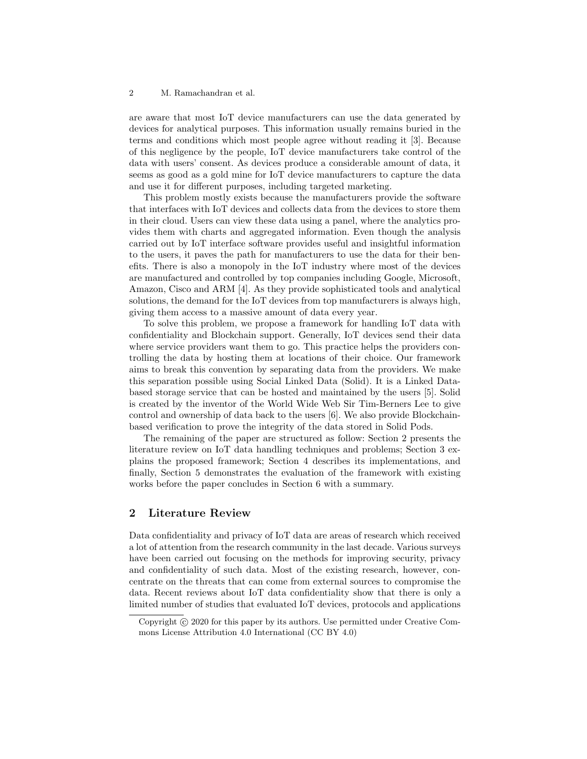are aware that most IoT device manufacturers can use the data generated by devices for analytical purposes. This information usually remains buried in the terms and conditions which most people agree without reading it [3]. Because of this negligence by the people, IoT device manufacturers take control of the data with users' consent. As devices produce a considerable amount of data, it seems as good as a gold mine for IoT device manufacturers to capture the data and use it for different purposes, including targeted marketing.

This problem mostly exists because the manufacturers provide the software that interfaces with IoT devices and collects data from the devices to store them in their cloud. Users can view these data using a panel, where the analytics provides them with charts and aggregated information. Even though the analysis carried out by IoT interface software provides useful and insightful information to the users, it paves the path for manufacturers to use the data for their benefits. There is also a monopoly in the IoT industry where most of the devices are manufactured and controlled by top companies including Google, Microsoft, Amazon, Cisco and ARM [4]. As they provide sophisticated tools and analytical solutions, the demand for the IoT devices from top manufacturers is always high, giving them access to a massive amount of data every year.

To solve this problem, we propose a framework for handling IoT data with confidentiality and Blockchain support. Generally, IoT devices send their data where service providers want them to go. This practice helps the providers controlling the data by hosting them at locations of their choice. Our framework aims to break this convention by separating data from the providers. We make this separation possible using Social Linked Data (Solid). It is a Linked Databased storage service that can be hosted and maintained by the users [5]. Solid is created by the inventor of the World Wide Web Sir Tim-Berners Lee to give control and ownership of data back to the users [6]. We also provide Blockchainbased verification to prove the integrity of the data stored in Solid Pods.

The remaining of the paper are structured as follow: Section 2 presents the literature review on IoT data handling techniques and problems; Section 3 explains the proposed framework; Section 4 describes its implementations, and finally, Section 5 demonstrates the evaluation of the framework with existing works before the paper concludes in Section 6 with a summary.

# 2 Literature Review

Data confidentiality and privacy of IoT data are areas of research which received a lot of attention from the research community in the last decade. Various surveys have been carried out focusing on the methods for improving security, privacy and confidentiality of such data. Most of the existing research, however, concentrate on the threats that can come from external sources to compromise the data. Recent reviews about IoT data confidentiality show that there is only a limited number of studies that evaluated IoT devices, protocols and applications

Copyright (c) 2020 for this paper by its authors. Use permitted under Creative Commons License Attribution 4.0 International (CC BY 4.0)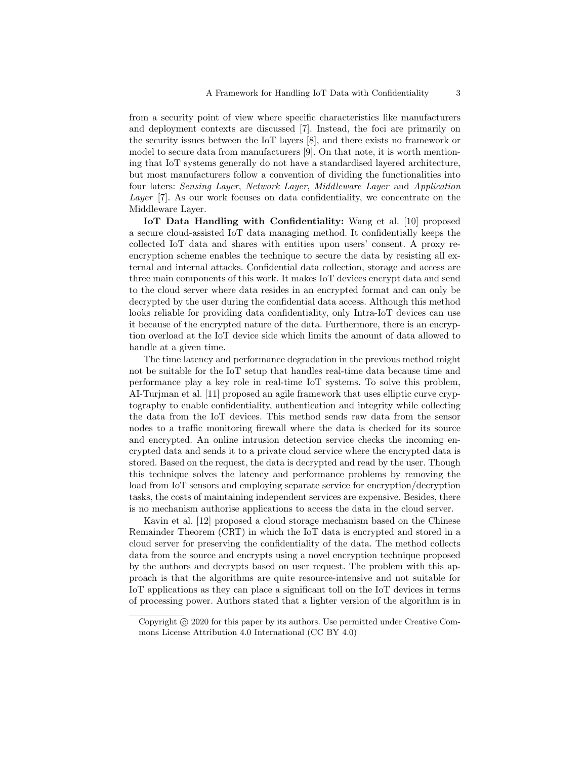from a security point of view where specific characteristics like manufacturers and deployment contexts are discussed [7]. Instead, the foci are primarily on the security issues between the IoT layers [8], and there exists no framework or model to secure data from manufacturers [9]. On that note, it is worth mentioning that IoT systems generally do not have a standardised layered architecture, but most manufacturers follow a convention of dividing the functionalities into four laters: Sensing Layer, Network Layer, Middleware Layer and Application Layer [7]. As our work focuses on data confidentiality, we concentrate on the Middleware Layer.

IoT Data Handling with Confidentiality: Wang et al. [10] proposed a secure cloud-assisted IoT data managing method. It confidentially keeps the collected IoT data and shares with entities upon users' consent. A proxy reencryption scheme enables the technique to secure the data by resisting all external and internal attacks. Confidential data collection, storage and access are three main components of this work. It makes IoT devices encrypt data and send to the cloud server where data resides in an encrypted format and can only be decrypted by the user during the confidential data access. Although this method looks reliable for providing data confidentiality, only Intra-IoT devices can use it because of the encrypted nature of the data. Furthermore, there is an encryption overload at the IoT device side which limits the amount of data allowed to handle at a given time.

The time latency and performance degradation in the previous method might not be suitable for the IoT setup that handles real-time data because time and performance play a key role in real-time IoT systems. To solve this problem, AI-Turjman et al. [11] proposed an agile framework that uses elliptic curve cryptography to enable confidentiality, authentication and integrity while collecting the data from the IoT devices. This method sends raw data from the sensor nodes to a traffic monitoring firewall where the data is checked for its source and encrypted. An online intrusion detection service checks the incoming encrypted data and sends it to a private cloud service where the encrypted data is stored. Based on the request, the data is decrypted and read by the user. Though this technique solves the latency and performance problems by removing the load from IoT sensors and employing separate service for encryption/decryption tasks, the costs of maintaining independent services are expensive. Besides, there is no mechanism authorise applications to access the data in the cloud server.

Kavin et al. [12] proposed a cloud storage mechanism based on the Chinese Remainder Theorem (CRT) in which the IoT data is encrypted and stored in a cloud server for preserving the confidentiality of the data. The method collects data from the source and encrypts using a novel encryption technique proposed by the authors and decrypts based on user request. The problem with this approach is that the algorithms are quite resource-intensive and not suitable for IoT applications as they can place a significant toll on the IoT devices in terms of processing power. Authors stated that a lighter version of the algorithm is in

Copyright  $\odot$  2020 for this paper by its authors. Use permitted under Creative Commons License Attribution 4.0 International (CC BY 4.0)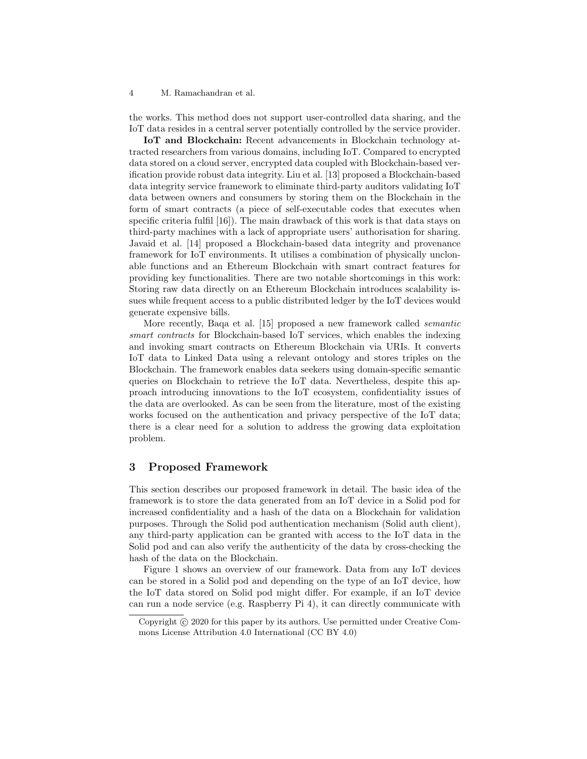the works. This method does not support user-controlled data sharing, and the IoT data resides in a central server potentially controlled by the service provider.

IoT and Blockchain: Recent advancements in Blockchain technology attracted researchers from various domains, including IoT. Compared to encrypted data stored on a cloud server, encrypted data coupled with Blockchain-based verification provide robust data integrity. Liu et al. [13] proposed a Blockchain-based data integrity service framework to eliminate third-party auditors validating IoT data between owners and consumers by storing them on the Blockchain in the form of smart contracts (a piece of self-executable codes that executes when specific criteria fulfil [16]). The main drawback of this work is that data stays on third-party machines with a lack of appropriate users' authorisation for sharing. Javaid et al. [14] proposed a Blockchain-based data integrity and provenance framework for IoT environments. It utilises a combination of physically unclonable functions and an Ethereum Blockchain with smart contract features for providing key functionalities. There are two notable shortcomings in this work: Storing raw data directly on an Ethereum Blockchain introduces scalability issues while frequent access to a public distributed ledger by the IoT devices would generate expensive bills.

More recently, Baqa et al. [15] proposed a new framework called semantic smart contracts for Blockchain-based IoT services, which enables the indexing and invoking smart contracts on Ethereum Blockchain via URIs. It converts IoT data to Linked Data using a relevant ontology and stores triples on the Blockchain. The framework enables data seekers using domain-specific semantic queries on Blockchain to retrieve the IoT data. Nevertheless, despite this approach introducing innovations to the IoT ecosystem, confidentiality issues of the data are overlooked. As can be seen from the literature, most of the existing works focused on the authentication and privacy perspective of the IoT data; there is a clear need for a solution to address the growing data exploitation problem.

#### 3 Proposed Framework

This section describes our proposed framework in detail. The basic idea of the framework is to store the data generated from an IoT device in a Solid pod for increased confidentiality and a hash of the data on a Blockchain for validation purposes. Through the Solid pod authentication mechanism (Solid auth client), any third-party application can be granted with access to the IoT data in the Solid pod and can also verify the authenticity of the data by cross-checking the hash of the data on the Blockchain.

Figure 1 shows an overview of our framework. Data from any IoT devices can be stored in a Solid pod and depending on the type of an IoT device, how the IoT data stored on Solid pod might differ. For example, if an IoT device can run a node service (e.g. Raspberry Pi 4), it can directly communicate with

Copyright (c) 2020 for this paper by its authors. Use permitted under Creative Commons License Attribution 4.0 International (CC BY 4.0)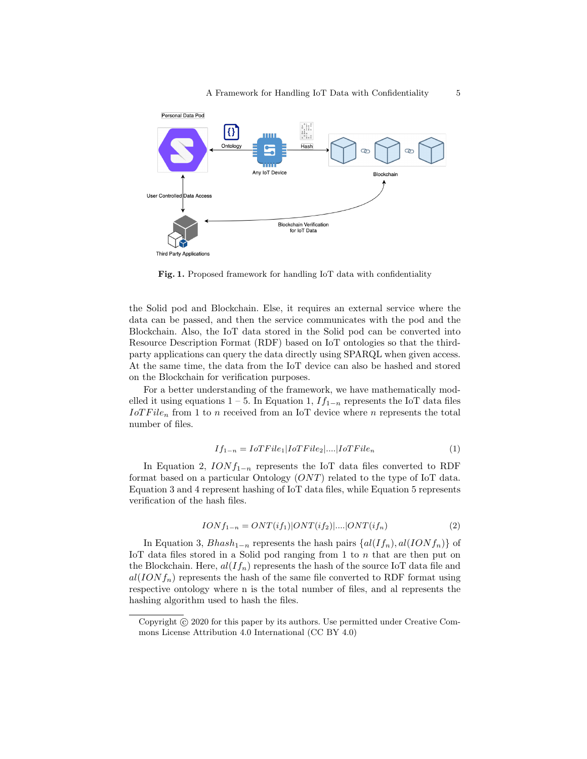

Fig. 1. Proposed framework for handling IoT data with confidentiality

the Solid pod and Blockchain. Else, it requires an external service where the data can be passed, and then the service communicates with the pod and the Blockchain. Also, the IoT data stored in the Solid pod can be converted into Resource Description Format (RDF) based on IoT ontologies so that the thirdparty applications can query the data directly using SPARQL when given access. At the same time, the data from the IoT device can also be hashed and stored on the Blockchain for verification purposes.

For a better understanding of the framework, we have mathematically modelled it using equations 1 – 5. In Equation 1,  $If_{1-n}$  represents the IoT data files  $IoTFile<sub>n</sub>$  from 1 to n received from an IoT device where n represents the total number of files.

$$
If_{1-n} = IoTFile_1|IoTFile_2|...|IoTFile_n
$$
\n
$$
(1)
$$

In Equation 2,  $IONf_{1-n}$  represents the IoT data files converted to RDF format based on a particular Ontology  $(ONT)$  related to the type of IoT data. Equation 3 and 4 represent hashing of IoT data files, while Equation 5 represents verification of the hash files.

$$
IONf_{1-n} = ONT(if_1)|ONT(if_2)|....|ONT(if_n)
$$
\n
$$
(2)
$$

In Equation 3,  $Bhash_{1-n}$  represents the hash pairs  $\{al(If_n), al(IONf_n)\}\$  of IoT data files stored in a Solid pod ranging from 1 to  $n$  that are then put on the Blockchain. Here,  $al(If_n)$  represents the hash of the source IoT data file and  $al(IONf_n)$  represents the hash of the same file converted to RDF format using respective ontology where n is the total number of files, and al represents the hashing algorithm used to hash the files.

Copyright  $\odot$  2020 for this paper by its authors. Use permitted under Creative Commons License Attribution 4.0 International (CC BY 4.0)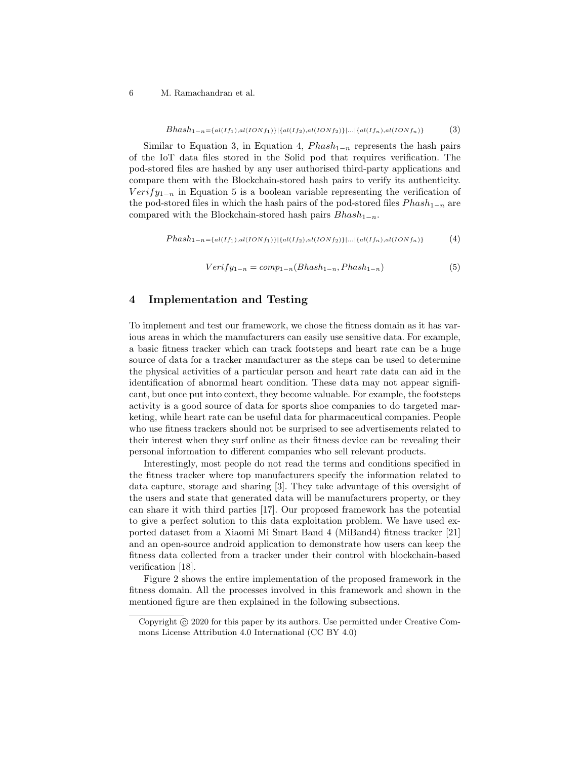$$
Bhash_{1-n} = \{al(If_1), al(IONf_1)\} | \{al(If_2), al(IONf_2)\} |...| \{al(If_n), al(IONf_n)\} \tag{3}
$$

Similar to Equation 3, in Equation 4,  $Phash_{1-n}$  represents the hash pairs of the IoT data files stored in the Solid pod that requires verification. The pod-stored files are hashed by any user authorised third-party applications and compare them with the Blockchain-stored hash pairs to verify its authenticity.  $Verify_{1-n}$  in Equation 5 is a boolean variable representing the verification of the pod-stored files in which the hash pairs of the pod-stored files  $Phash_{1-n}$  are compared with the Blockchain-stored hash pairs  $Bhash_{1-n}$ .

 $Phash_{1-n} = \{al(If_1),al(IONf_1)\}|\{al(If_2),al(IONf_2)\}...|\{al(If_n),al(IONf_n)\}$  (4)

$$
Verify_{1-n} = comp_{1-n}(Bhash_{1-n}, Phash_{1-n})
$$
\n
$$
(5)
$$

## 4 Implementation and Testing

To implement and test our framework, we chose the fitness domain as it has various areas in which the manufacturers can easily use sensitive data. For example, a basic fitness tracker which can track footsteps and heart rate can be a huge source of data for a tracker manufacturer as the steps can be used to determine the physical activities of a particular person and heart rate data can aid in the identification of abnormal heart condition. These data may not appear significant, but once put into context, they become valuable. For example, the footsteps activity is a good source of data for sports shoe companies to do targeted marketing, while heart rate can be useful data for pharmaceutical companies. People who use fitness trackers should not be surprised to see advertisements related to their interest when they surf online as their fitness device can be revealing their personal information to different companies who sell relevant products.

Interestingly, most people do not read the terms and conditions specified in the fitness tracker where top manufacturers specify the information related to data capture, storage and sharing [3]. They take advantage of this oversight of the users and state that generated data will be manufacturers property, or they can share it with third parties [17]. Our proposed framework has the potential to give a perfect solution to this data exploitation problem. We have used exported dataset from a Xiaomi Mi Smart Band 4 (MiBand4) fitness tracker [21] and an open-source android application to demonstrate how users can keep the fitness data collected from a tracker under their control with blockchain-based verification [18].

Figure 2 shows the entire implementation of the proposed framework in the fitness domain. All the processes involved in this framework and shown in the mentioned figure are then explained in the following subsections.

Copyright  $\odot$  2020 for this paper by its authors. Use permitted under Creative Commons License Attribution 4.0 International (CC BY 4.0)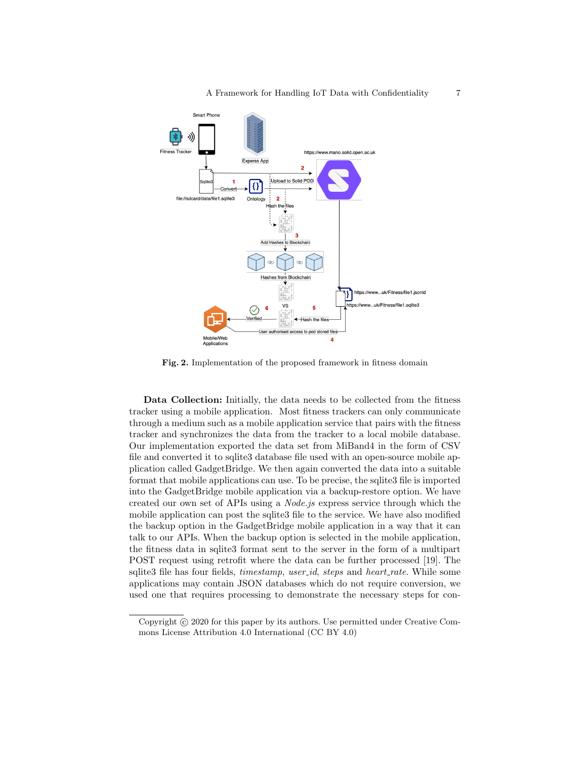

Fig. 2. Implementation of the proposed framework in fitness domain

Data Collection: Initially, the data needs to be collected from the fitness tracker using a mobile application. Most fitness trackers can only communicate through a medium such as a mobile application service that pairs with the fitness tracker and synchronizes the data from the tracker to a local mobile database. Our implementation exported the data set from MiBand4 in the form of CSV file and converted it to sqlite3 database file used with an open-source mobile application called GadgetBridge. We then again converted the data into a suitable format that mobile applications can use. To be precise, the sqlite3 file is imported into the GadgetBridge mobile application via a backup-restore option. We have created our own set of APIs using a Node.js express service through which the mobile application can post the sqlite3 file to the service. We have also modified the backup option in the GadgetBridge mobile application in a way that it can talk to our APIs. When the backup option is selected in the mobile application, the fitness data in sqlite3 format sent to the server in the form of a multipart POST request using retrofit where the data can be further processed [19]. The sqlite3 file has four fields, *timestamp*, *user\_id*, *steps* and *heart\_rate*. While some applications may contain JSON databases which do not require conversion, we used one that requires processing to demonstrate the necessary steps for con-

Copyright (c) 2020 for this paper by its authors. Use permitted under Creative Commons License Attribution 4.0 International (CC BY 4.0)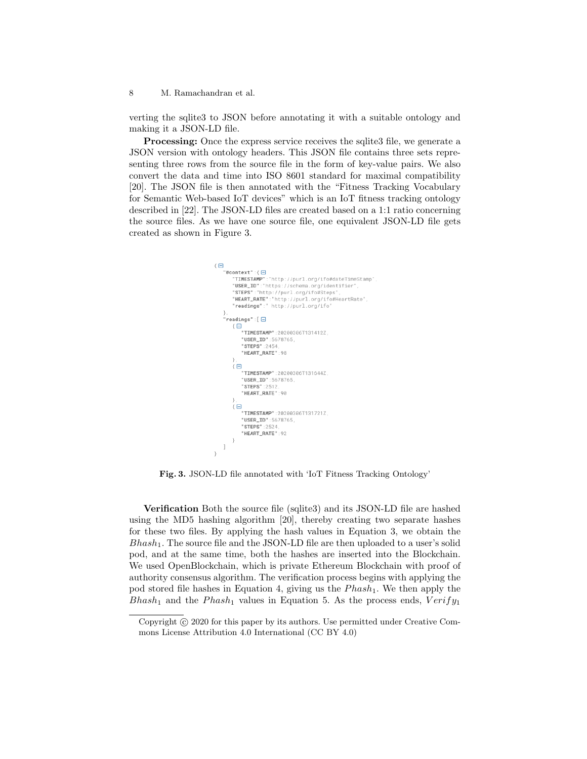verting the sqlite3 to JSON before annotating it with a suitable ontology and making it a JSON-LD file.

Processing: Once the express service receives the sqlite3 file, we generate a JSON version with ontology headers. This JSON file contains three sets representing three rows from the source file in the form of key-value pairs. We also convert the data and time into ISO 8601 standard for maximal compatibility [20]. The JSON file is then annotated with the "Fitness Tracking Vocabulary for Semantic Web-based IoT devices" which is an IoT fitness tracking ontology described in [22]. The JSON-LD files are created based on a 1:1 ratio concerning the source files. As we have one source file, one equivalent JSON-LD file gets created as shown in Figure 3.

```
\left\{ \right. \boxminus"@context":{⊟
    context":{□<br>"TIMESTAMP":"http://purl.org/ifo#dateTimeStam<br>"USER_ID":"https://schema.org/identifier",<br>"STEPS":"http://purl.org/ifo#Steps",<br>"HEART_RATE":"http://purl.org/ifo#HeartRate",<br>"readings":" http://purl.org/ifo"
                        :"http://purl.org/ifo#dateTimeStamp"
},<br>"readings":[ ⊟
    "USER_ID":5678765,
          "STEPS" -2454"HEART RATE":98
     \{ \boxminus"TIMESTAMP":20200306T131644Z
          "USER_ID":5678765,
          "STEPS" - 2512
          "HEART_RATE":90
      \overline{\Theta}"TIMESTAMP":20200306T131721Z
          "USER_ID":5678765,
          "STEPS" -2524"HEART_RATE":92
\mathbf{I}\rightarrow
```
Fig. 3. JSON-LD file annotated with 'IoT Fitness Tracking Ontology'

Verification Both the source file (sqlite3) and its JSON-LD file are hashed using the MD5 hashing algorithm [20], thereby creating two separate hashes for these two files. By applying the hash values in Equation 3, we obtain the  $Bhash_1$ . The source file and the JSON-LD file are then uploaded to a user's solid pod, and at the same time, both the hashes are inserted into the Blockchain. We used OpenBlockchain, which is private Ethereum Blockchain with proof of authority consensus algorithm. The verification process begins with applying the pod stored file hashes in Equation 4, giving us the  $Phash_1$ . We then apply the Bhash<sub>1</sub> and the Phash<sub>1</sub> values in Equation 5. As the process ends,  $Verify_1$ 

Copyright  $\odot$  2020 for this paper by its authors. Use permitted under Creative Commons License Attribution 4.0 International (CC BY 4.0)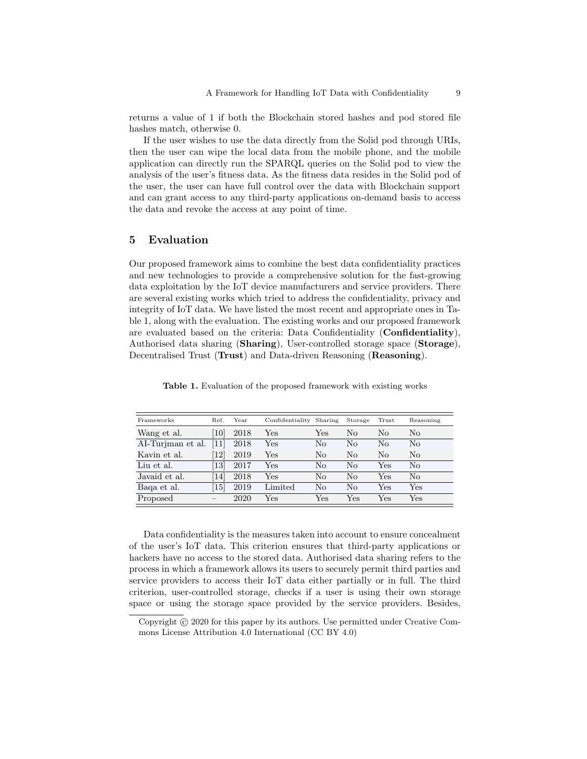returns a value of 1 if both the Blockchain stored hashes and pod stored file hashes match, otherwise 0.

If the user wishes to use the data directly from the Solid pod through URIs, then the user can wipe the local data from the mobile phone, and the mobile application can directly run the SPARQL queries on the Solid pod to view the analysis of the user's fitness data. As the fitness data resides in the Solid pod of the user, the user can have full control over the data with Blockchain support and can grant access to any third-party applications on-demand basis to access the data and revoke the access at any point of time.

#### 5 Evaluation

Our proposed framework aims to combine the best data confidentiality practices and new technologies to provide a comprehensive solution for the fast-growing data exploitation by the IoT device manufacturers and service providers. There are several existing works which tried to address the confidentiality, privacy and integrity of IoT data. We have listed the most recent and appropriate ones in Table 1, along with the evaluation. The existing works and our proposed framework are evaluated based on the criteria: Data Confidentiality (Confidentiality), Authorised data sharing (Sharing), User-controlled storage space (Storage), Decentralised Trust (Trust) and Data-driven Reasoning (Reasoning).

| Frameworks        | Ref.              | Year | Confidentiality Sharing |              | Storage      | Trust        | Reasoning            |
|-------------------|-------------------|------|-------------------------|--------------|--------------|--------------|----------------------|
| Wang et al.       | [10]              | 2018 | $_{\rm Yes}$            | $_{\rm Yes}$ | No           | No           | $\rm No$             |
| AI-Turiman et al. | $\left[11\right]$ | 2018 | Yes                     | No           | No           | No           | No                   |
| Kavin et al.      | $\left[12\right]$ | 2019 | Yes                     | No           | No           | No           | $\rm No$             |
| Liu et al.        | [13]              | 2017 | Yes                     | No           | No           | Yes          | $\rm No$             |
| Javaid et al.     | [14]              | 2018 | Yes                     | No           | No           | Yes          | No                   |
| Baga et al.       | $\left[15\right]$ | 2019 | Limited                 | No           | No           | Yes          | $\operatorname{Yes}$ |
| Proposed          |                   | 2020 | $_{\rm Yes}$            | $_{\rm Yes}$ | $_{\rm Yes}$ | $_{\rm Yes}$ | $\operatorname{Yes}$ |

Table 1. Evaluation of the proposed framework with existing works

Data confidentiality is the measures taken into account to ensure concealment of the user's IoT data. This criterion ensures that third-party applications or hackers have no access to the stored data. Authorised data sharing refers to the process in which a framework allows its users to securely permit third parties and service providers to access their IoT data either partially or in full. The third criterion, user-controlled storage, checks if a user is using their own storage space or using the storage space provided by the service providers. Besides,

Copyright (c) 2020 for this paper by its authors. Use permitted under Creative Commons License Attribution 4.0 International (CC BY 4.0)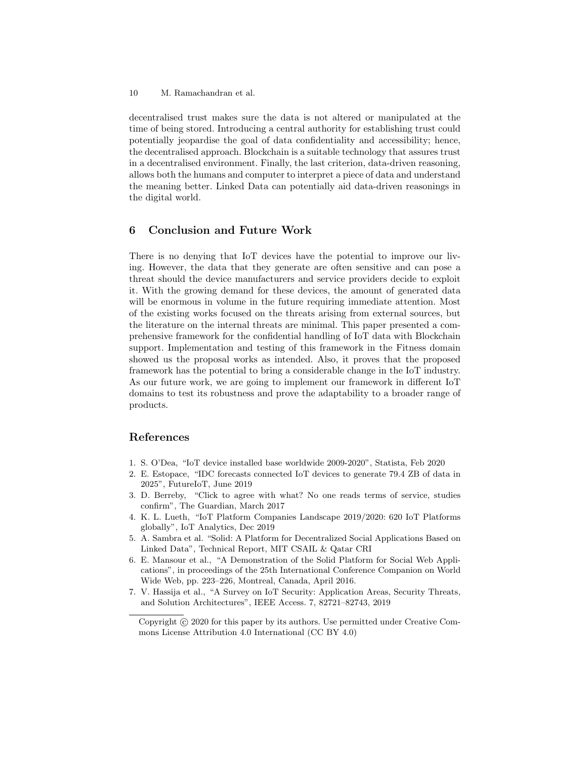decentralised trust makes sure the data is not altered or manipulated at the time of being stored. Introducing a central authority for establishing trust could potentially jeopardise the goal of data confidentiality and accessibility; hence, the decentralised approach. Blockchain is a suitable technology that assures trust in a decentralised environment. Finally, the last criterion, data-driven reasoning, allows both the humans and computer to interpret a piece of data and understand the meaning better. Linked Data can potentially aid data-driven reasonings in the digital world.

### 6 Conclusion and Future Work

There is no denying that IoT devices have the potential to improve our living. However, the data that they generate are often sensitive and can pose a threat should the device manufacturers and service providers decide to exploit it. With the growing demand for these devices, the amount of generated data will be enormous in volume in the future requiring immediate attention. Most of the existing works focused on the threats arising from external sources, but the literature on the internal threats are minimal. This paper presented a comprehensive framework for the confidential handling of IoT data with Blockchain support. Implementation and testing of this framework in the Fitness domain showed us the proposal works as intended. Also, it proves that the proposed framework has the potential to bring a considerable change in the IoT industry. As our future work, we are going to implement our framework in different IoT domains to test its robustness and prove the adaptability to a broader range of products.

## References

- 1. S. O'Dea, "IoT device installed base worldwide 2009-2020", Statista, Feb 2020
- 2. E. Estopace, "IDC forecasts connected IoT devices to generate 79.4 ZB of data in 2025", FutureIoT, June 2019
- 3. D. Berreby, "Click to agree with what? No one reads terms of service, studies confirm", The Guardian, March 2017
- 4. K. L. Lueth, "IoT Platform Companies Landscape 2019/2020: 620 IoT Platforms globally", IoT Analytics, Dec 2019
- 5. A. Sambra et al. "Solid: A Platform for Decentralized Social Applications Based on Linked Data", Technical Report, MIT CSAIL & Qatar CRI
- 6. E. Mansour et al., "A Demonstration of the Solid Platform for Social Web Applications", in proceedings of the 25th International Conference Companion on World Wide Web, pp. 223–226, Montreal, Canada, April 2016.
- 7. V. Hassija et al., "A Survey on IoT Security: Application Areas, Security Threats, and Solution Architectures", IEEE Access. 7, 82721–82743, 2019

Copyright  $\odot$  2020 for this paper by its authors. Use permitted under Creative Commons License Attribution 4.0 International (CC BY 4.0)